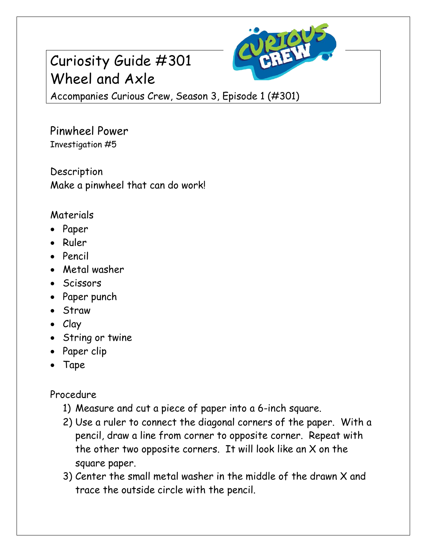## Curiosity Guide #301 Wheel and Axle



Accompanies Curious Crew, Season 3, Episode 1 (#301)

Pinwheel Power Investigation #5

Description Make a pinwheel that can do work!

## Materials

- Paper
- Ruler
- Pencil
- Metal washer
- Scissors
- Paper punch
- Straw
- Clay
- String or twine
- Paper clip
- Tape

Procedure

- 1) Measure and cut a piece of paper into a 6-inch square.
- 2) Use a ruler to connect the diagonal corners of the paper. With a pencil, draw a line from corner to opposite corner. Repeat with the other two opposite corners. It will look like an X on the square paper.
- 3) Center the small metal washer in the middle of the drawn X and trace the outside circle with the pencil.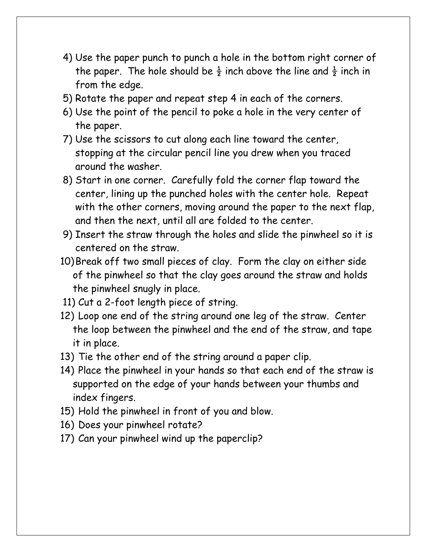- 4) Use the paper punch to punch a hole in the bottom right corner of the paper. The hole should be  $\frac{1}{2}$  inch above the line and  $\frac{1}{2}$  inch in from the edge.
- 5) Rotate the paper and repeat step 4 in each of the corners.
- 6) Use the point of the pencil to poke a hole in the very center of the paper.
- 7) Use the scissors to cut along each line toward the center, stopping at the circular pencil line you drew when you traced around the washer.
- 8) Start in one corner. Carefully fold the corner flap toward the center, lining up the punched holes with the center hole. Repeat with the other corners, moving around the paper to the next flap, and then the next, until all are folded to the center.
- 9) Insert the straw through the holes and slide the pinwheel so it is centered on the straw.
- 10)Break off two small pieces of clay. Form the clay on either side of the pinwheel so that the clay goes around the straw and holds the pinwheel snugly in place.
- 11) Cut a 2-foot length piece of string.
- 12) Loop one end of the string around one leg of the straw. Center the loop between the pinwheel and the end of the straw, and tape it in place.
- 13) Tie the other end of the string around a paper clip.
- 14) Place the pinwheel in your hands so that each end of the straw is supported on the edge of your hands between your thumbs and index fingers.
- 15) Hold the pinwheel in front of you and blow.
- 16) Does your pinwheel rotate?
- 17) Can your pinwheel wind up the paperclip?